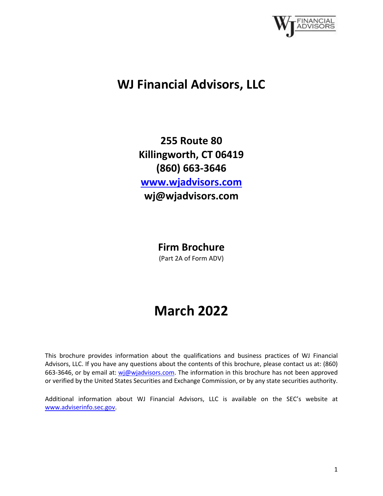

## **WJ Financial Advisors, LLC**

**255 Route 80 Killingworth, CT 06419 (860) 663-3646 [www.wjadvisors.com](http://www.wjadvisors.com/) wj@wjadvisors.com**

**Firm Brochure**

(Part 2A of Form ADV)

# **March 2022**

This brochure provides information about the qualifications and business practices of WJ Financial Advisors, LLC. If you have any questions about the contents of this brochure, please contact us at: (860) 663-3646, or by email at: [wj@wjadvisors.com.](mailto:wj@wjadvisors.com) The information in this brochure has not been approved or verified by the United States Securities and Exchange Commission, or by any state securities authority.

Additional information about WJ Financial Advisors, LLC is available on the SEC's website at [www.adviserinfo.sec.gov.](http://www.adviserinfo.sec.gov/)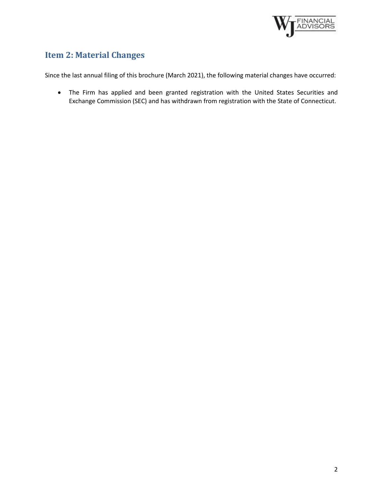

## <span id="page-1-0"></span>**Item 2: Material Changes**

Since the last annual filing of this brochure (March 2021), the following material changes have occurred:

• The Firm has applied and been granted registration with the United States Securities and Exchange Commission (SEC) and has withdrawn from registration with the State of Connecticut.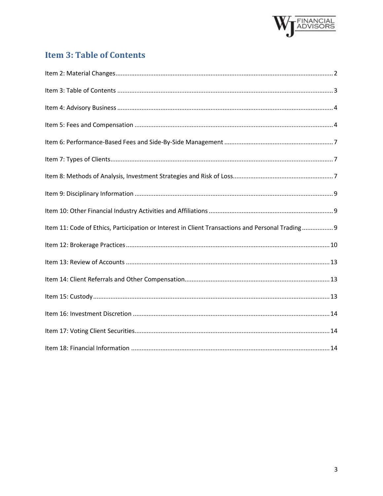

## <span id="page-2-0"></span>**Item 3: Table of Contents**

| Item 11: Code of Ethics, Participation or Interest in Client Transactions and Personal Trading 9 |  |
|--------------------------------------------------------------------------------------------------|--|
|                                                                                                  |  |
|                                                                                                  |  |
|                                                                                                  |  |
|                                                                                                  |  |
|                                                                                                  |  |
|                                                                                                  |  |
|                                                                                                  |  |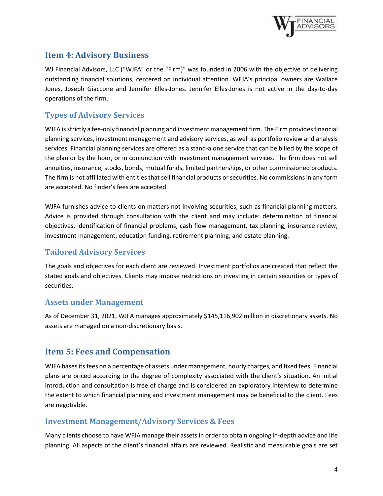

## <span id="page-3-0"></span>**Item 4: Advisory Business**

WJ Financial Advisors, LLC ("WJFA" or the "Firm)" was founded in 2006 with the objective of delivering outstanding financial solutions, centered on individual attention. WFJA's principal owners are Wallace Jones, Joseph Giaccone and Jennifer Elles-Jones. Jennifer Elles-Jones is not active in the day-to-day operations of the firm.

#### **Types of Advisory Services**

WJFA is strictly a fee-only financial planning and investment management firm. The Firm provides financial planning services, investment management and advisory services, as well as portfolio review and analysis services. Financial planning services are offered as a stand-alone service that can be billed by the scope of the plan or by the hour, or in conjunction with investment management services. The firm does not sell annuities, insurance, stocks, bonds, mutual funds, limited partnerships, or other commissioned products. The firm is not affiliated with entities that sell financial products or securities. No commissions in any form are accepted. No finder's fees are accepted.

WJFA furnishes advice to clients on matters not involving securities, such as financial planning matters. Advice is provided through consultation with the client and may include: determination of financial objectives, identification of financial problems, cash flow management, tax planning, insurance review, investment management, education funding, retirement planning, and estate planning.

#### **Tailored Advisory Services**

The goals and objectives for each client are reviewed. Investment portfolios are created that reflect the stated goals and objectives. Clients may impose restrictions on investing in certain securities or types of securities.

#### **Assets under Management**

As of December 31, 2021, WJFA manages approximately \$145,116,902 million in discretionary assets. No assets are managed on a non-discretionary basis.

## <span id="page-3-1"></span>**Item 5: Fees and Compensation**

WJFA bases its fees on a percentage of assets under management, hourly charges, and fixed fees. Financial plans are priced according to the degree of complexity associated with the client's situation. An initial introduction and consultation is free of charge and is considered an exploratory interview to determine the extent to which financial planning and investment management may be beneficial to the client. Fees are negotiable.

#### **Investment Management/Advisory Services & Fees**

Many clients choose to have WFJA manage their assets in order to obtain ongoing in-depth advice and life planning. All aspects of the client's financial affairs are reviewed. Realistic and measurable goals are set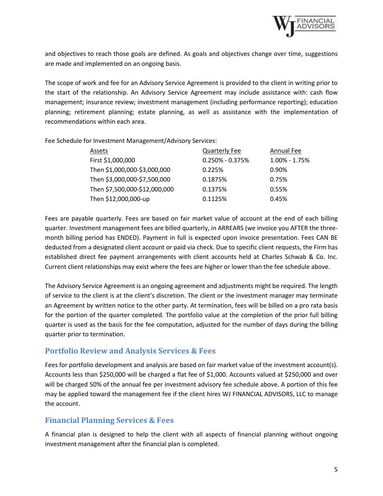

and objectives to reach those goals are defined. As goals and objectives change over time, suggestions are made and implemented on an ongoing basis.

The scope of work and fee for an Advisory Service Agreement is provided to the client in writing prior to the start of the relationship. An Advisory Service Agreement may include assistance with: cash flow management; insurance review; investment management (including performance reporting); education planning; retirement planning; estate planning, as well as assistance with the implementation of recommendations within each area.

Fee Schedule for Investment Management/Advisory Services:

| Assets                        | <b>Quarterly Fee</b> | Annual Fee    |
|-------------------------------|----------------------|---------------|
| First \$1,000,000             | $0.250\% - 0.375\%$  | 1.00% - 1.75% |
| Then \$1,000,000-\$3,000,000  | 0.225%               | 0.90%         |
| Then \$3,000,000-\$7,500,000  | 0.1875%              | 0.75%         |
| Then \$7,500,000-\$12,000,000 | 0.1375%              | 0.55%         |
| Then \$12,000,000-up          | 0.1125%              | 0.45%         |

Fees are payable quarterly. Fees are based on fair market value of account at the end of each billing quarter. Investment management fees are billed quarterly, in ARREARS (we invoice you AFTER the threemonth billing period has ENDED). Payment in full is expected upon invoice presentation. Fees CAN BE deducted from a designated client account or paid via check. Due to specific client requests, the Firm has established direct fee payment arrangements with client accounts held at Charles Schwab & Co. Inc. Current client relationships may exist where the fees are higher or lower than the fee schedule above.

The Advisory Service Agreement is an ongoing agreement and adjustments might be required. The length of service to the client is at the client's discretion. The client or the investment manager may terminate an Agreement by written notice to the other party. At termination, fees will be billed on a pro rata basis for the portion of the quarter completed. The portfolio value at the completion of the prior full billing quarter is used as the basis for the fee computation, adjusted for the number of days during the billing quarter prior to termination.

#### **Portfolio Review and Analysis Services & Fees**

Fees for portfolio development and analysis are based on fair market value of the investment account(s). Accounts less than \$250,000 will be charged a flat fee of \$1,000. Accounts valued at \$250,000 and over will be charged 50% of the annual fee per investment advisory fee schedule above. A portion of this fee may be applied toward the management fee if the client hires WJ FINANCIAL ADVISORS, LLC to manage the account.

#### **Financial Planning Services & Fees**

A financial plan is designed to help the client with all aspects of financial planning without ongoing investment management after the financial plan is completed.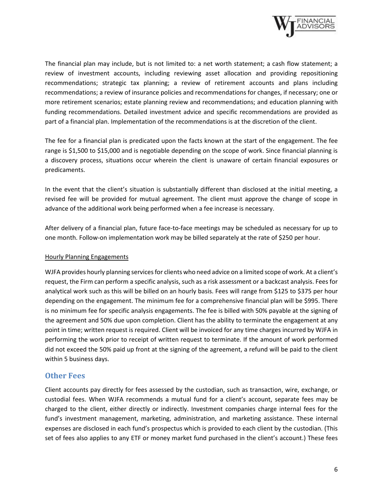

The financial plan may include, but is not limited to: a net worth statement; a cash flow statement; a review of investment accounts, including reviewing asset allocation and providing repositioning recommendations; strategic tax planning; a review of retirement accounts and plans including recommendations; a review of insurance policies and recommendations for changes, if necessary; one or more retirement scenarios; estate planning review and recommendations; and education planning with funding recommendations. Detailed investment advice and specific recommendations are provided as part of a financial plan. Implementation of the recommendations is at the discretion of the client.

The fee for a financial plan is predicated upon the facts known at the start of the engagement. The fee range is \$1,500 to \$15,000 and is negotiable depending on the scope of work. Since financial planning is a discovery process, situations occur wherein the client is unaware of certain financial exposures or predicaments.

In the event that the client's situation is substantially different than disclosed at the initial meeting, a revised fee will be provided for mutual agreement. The client must approve the change of scope in advance of the additional work being performed when a fee increase is necessary.

After delivery of a financial plan, future face-to-face meetings may be scheduled as necessary for up to one month. Follow-on implementation work may be billed separately at the rate of \$250 per hour.

#### Hourly Planning Engagements

WJFA provides hourly planning services for clients who need advice on a limited scope of work. At a client's request, the Firm can perform a specific analysis, such as a risk assessment or a backcast analysis. Fees for analytical work such as this will be billed on an hourly basis. Fees will range from \$125 to \$375 per hour depending on the engagement. The minimum fee for a comprehensive financial plan will be \$995. There is no minimum fee for specific analysis engagements. The fee is billed with 50% payable at the signing of the agreement and 50% due upon completion. Client has the ability to terminate the engagement at any point in time; written request is required. Client will be invoiced for any time charges incurred by WJFA in performing the work prior to receipt of written request to terminate. If the amount of work performed did not exceed the 50% paid up front at the signing of the agreement, a refund will be paid to the client within 5 business days.

#### **Other Fees**

Client accounts pay directly for fees assessed by the custodian, such as transaction, wire, exchange, or custodial fees. When WJFA recommends a mutual fund for a client's account, separate fees may be charged to the client, either directly or indirectly. Investment companies charge internal fees for the fund's investment management, marketing, administration, and marketing assistance. These internal expenses are disclosed in each fund's prospectus which is provided to each client by the custodian. (This set of fees also applies to any ETF or money market fund purchased in the client's account.) These fees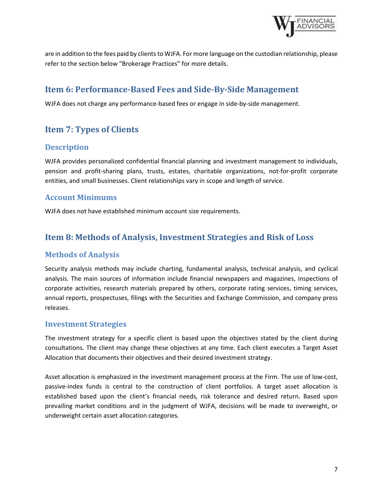

are in addition to the fees paid by clients to WJFA. For more language on the custodian relationship, please refer to the section below "Brokerage Practices" for more details.

## <span id="page-6-0"></span>**Item 6: Performance-Based Fees and Side-By-Side Management**

<span id="page-6-1"></span>WJFA does not charge any performance-based fees or engage in side-by-side management.

## **Item 7: Types of Clients**

#### **Description**

WJFA provides personalized confidential financial planning and investment management to individuals, pension and profit-sharing plans, trusts, estates, charitable organizations, not-for-profit corporate entities, and small businesses. Client relationships vary in scope and length of service.

#### **Account Minimums**

<span id="page-6-2"></span>WJFA does not have established minimum account size requirements.

## **Item 8: Methods of Analysis, Investment Strategies and Risk of Loss**

#### **Methods of Analysis**

Security analysis methods may include charting, fundamental analysis, technical analysis, and cyclical analysis. The main sources of information include financial newspapers and magazines, inspections of corporate activities, research materials prepared by others, corporate rating services, timing services, annual reports, prospectuses, filings with the Securities and Exchange Commission, and company press releases.

#### **Investment Strategies**

The investment strategy for a specific client is based upon the objectives stated by the client during consultations. The client may change these objectives at any time. Each client executes a Target Asset Allocation that documents their objectives and their desired investment strategy.

Asset allocation is emphasized in the investment management process at the Firm. The use of low-cost, passive-index funds is central to the construction of client portfolios. A target asset allocation is established based upon the client's financial needs, risk tolerance and desired return. Based upon prevailing market conditions and in the judgment of WJFA, decisions will be made to overweight, or underweight certain asset allocation categories.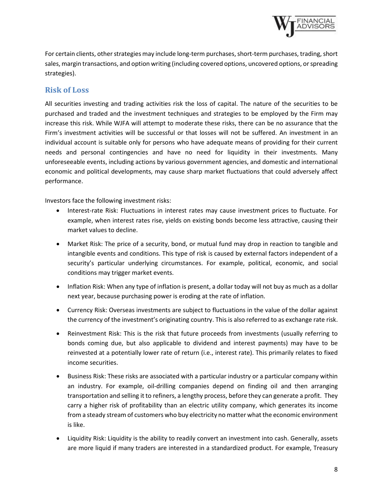

For certain clients, other strategies may include long-term purchases, short-term purchases, trading, short sales, margin transactions, and option writing (including covered options, uncovered options, or spreading strategies).

#### **Risk of Loss**

All securities investing and trading activities risk the loss of capital. The nature of the securities to be purchased and traded and the investment techniques and strategies to be employed by the Firm may increase this risk. While WJFA will attempt to moderate these risks, there can be no assurance that the Firm's investment activities will be successful or that losses will not be suffered. An investment in an individual account is suitable only for persons who have adequate means of providing for their current needs and personal contingencies and have no need for liquidity in their investments. Many unforeseeable events, including actions by various government agencies, and domestic and international economic and political developments, may cause sharp market fluctuations that could adversely affect performance.

Investors face the following investment risks:

- Interest-rate Risk: Fluctuations in interest rates may cause investment prices to fluctuate. For example, when interest rates rise, yields on existing bonds become less attractive, causing their market values to decline.
- Market Risk: The price of a security, bond, or mutual fund may drop in reaction to tangible and intangible events and conditions. This type of risk is caused by external factors independent of a security's particular underlying circumstances. For example, political, economic, and social conditions may trigger market events.
- Inflation Risk: When any type of inflation is present, a dollar today will not buy as much as a dollar next year, because purchasing power is eroding at the rate of inflation.
- Currency Risk: Overseas investments are subject to fluctuations in the value of the dollar against the currency of the investment's originating country. This is also referred to as exchange rate risk.
- Reinvestment Risk: This is the risk that future proceeds from investments (usually referring to bonds coming due, but also applicable to dividend and interest payments) may have to be reinvested at a potentially lower rate of return (i.e., interest rate). This primarily relates to fixed income securities.
- Business Risk: These risks are associated with a particular industry or a particular company within an industry. For example, oil-drilling companies depend on finding oil and then arranging transportation and selling it to refiners, a lengthy process, before they can generate a profit. They carry a higher risk of profitability than an electric utility company, which generates its income from a steady stream of customers who buy electricity no matter what the economic environment is like.
- Liquidity Risk: Liquidity is the ability to readily convert an investment into cash. Generally, assets are more liquid if many traders are interested in a standardized product. For example, Treasury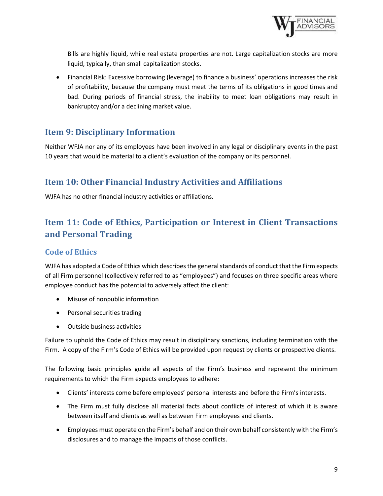

Bills are highly liquid, while real estate properties are not. Large capitalization stocks are more liquid, typically, than small capitalization stocks.

• Financial Risk: Excessive borrowing (leverage) to finance a business' operations increases the risk of profitability, because the company must meet the terms of its obligations in good times and bad. During periods of financial stress, the inability to meet loan obligations may result in bankruptcy and/or a declining market value.

## <span id="page-8-0"></span>**Item 9: Disciplinary Information**

Neither WFJA nor any of its employees have been involved in any legal or disciplinary events in the past 10 years that would be material to a client's evaluation of the company or its personnel.

## <span id="page-8-1"></span>**Item 10: Other Financial Industry Activities and Affiliations**

<span id="page-8-2"></span>WJFA has no other financial industry activities or affiliations.

## **Item 11: Code of Ethics, Participation or Interest in Client Transactions and Personal Trading**

#### **Code of Ethics**

WJFA has adopted a Code of Ethics which describes the general standards of conduct that the Firm expects of all Firm personnel (collectively referred to as "employees") and focuses on three specific areas where employee conduct has the potential to adversely affect the client:

- Misuse of nonpublic information
- Personal securities trading
- Outside business activities

Failure to uphold the Code of Ethics may result in disciplinary sanctions, including termination with the Firm. A copy of the Firm's Code of Ethics will be provided upon request by clients or prospective clients.

The following basic principles guide all aspects of the Firm's business and represent the minimum requirements to which the Firm expects employees to adhere:

- Clients' interests come before employees' personal interests and before the Firm's interests.
- The Firm must fully disclose all material facts about conflicts of interest of which it is aware between itself and clients as well as between Firm employees and clients.
- Employees must operate on the Firm's behalf and on their own behalf consistently with the Firm's disclosures and to manage the impacts of those conflicts.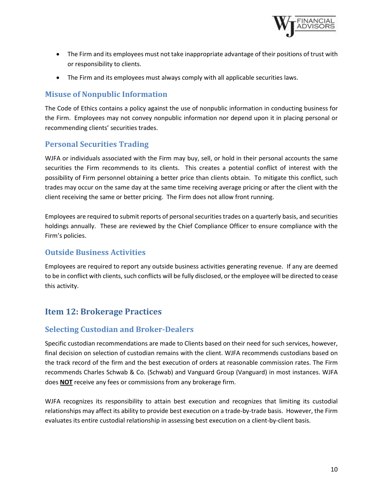

- The Firm and its employees must not take inappropriate advantage of their positions of trust with or responsibility to clients.
- The Firm and its employees must always comply with all applicable securities laws.

#### **Misuse of Nonpublic Information**

The Code of Ethics contains a policy against the use of nonpublic information in conducting business for the Firm. Employees may not convey nonpublic information nor depend upon it in placing personal or recommending clients' securities trades.

#### **Personal Securities Trading**

WJFA or individuals associated with the Firm may buy, sell, or hold in their personal accounts the same securities the Firm recommends to its clients. This creates a potential conflict of interest with the possibility of Firm personnel obtaining a better price than clients obtain. To mitigate this conflict, such trades may occur on the same day at the same time receiving average pricing or after the client with the client receiving the same or better pricing. The Firm does not allow front running.

Employees are required to submit reports of personal securities trades on a quarterly basis, and securities holdings annually. These are reviewed by the Chief Compliance Officer to ensure compliance with the Firm's policies.

#### **Outside Business Activities**

Employees are required to report any outside business activities generating revenue. If any are deemed to be in conflict with clients, such conflicts will be fully disclosed, or the employee will be directed to cease this activity.

## <span id="page-9-0"></span>**Item 12: Brokerage Practices**

#### **Selecting Custodian and Broker-Dealers**

Specific custodian recommendations are made to Clients based on their need for such services, however, final decision on selection of custodian remains with the client. WJFA recommends custodians based on the track record of the firm and the best execution of orders at reasonable commission rates. The Firm recommends Charles Schwab & Co. (Schwab) and Vanguard Group (Vanguard) in most instances. WJFA does **NOT** receive any fees or commissions from any brokerage firm.

WJFA recognizes its responsibility to attain best execution and recognizes that limiting its custodial relationships may affect its ability to provide best execution on a trade-by-trade basis. However, the Firm evaluates its entire custodial relationship in assessing best execution on a client-by-client basis.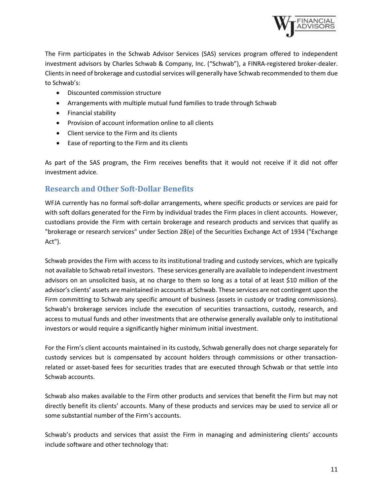

The Firm participates in the Schwab Advisor Services (SAS) services program offered to independent investment advisors by Charles Schwab & Company, Inc. ("Schwab"), a FINRA-registered broker-dealer. Clients in need of brokerage and custodial services will generally have Schwab recommended to them due to Schwab's:

- Discounted commission structure
- Arrangements with multiple mutual fund families to trade through Schwab
- Financial stability
- Provision of account information online to all clients
- Client service to the Firm and its clients
- Ease of reporting to the Firm and its clients

As part of the SAS program, the Firm receives benefits that it would not receive if it did not offer investment advice.

#### **Research and Other Soft-Dollar Benefits**

WFJA currently has no formal soft-dollar arrangements, where specific products or services are paid for with soft dollars generated for the Firm by individual trades the Firm places in client accounts. However, custodians provide the Firm with certain brokerage and research products and services that qualify as "brokerage or research services" under Section 28(e) of the Securities Exchange Act of 1934 ("Exchange Act").

Schwab provides the Firm with access to its institutional trading and custody services, which are typically not available to Schwab retail investors. These services generally are available to independent investment advisors on an unsolicited basis, at no charge to them so long as a total of at least \$10 million of the advisor's clients' assets are maintained in accounts at Schwab. These services are not contingent upon the Firm committing to Schwab any specific amount of business (assets in custody or trading commissions). Schwab's brokerage services include the execution of securities transactions, custody, research, and access to mutual funds and other investments that are otherwise generally available only to institutional investors or would require a significantly higher minimum initial investment.

For the Firm's client accounts maintained in its custody, Schwab generally does not charge separately for custody services but is compensated by account holders through commissions or other transactionrelated or asset-based fees for securities trades that are executed through Schwab or that settle into Schwab accounts.

Schwab also makes available to the Firm other products and services that benefit the Firm but may not directly benefit its clients' accounts. Many of these products and services may be used to service all or some substantial number of the Firm's accounts.

Schwab's products and services that assist the Firm in managing and administering clients' accounts include software and other technology that: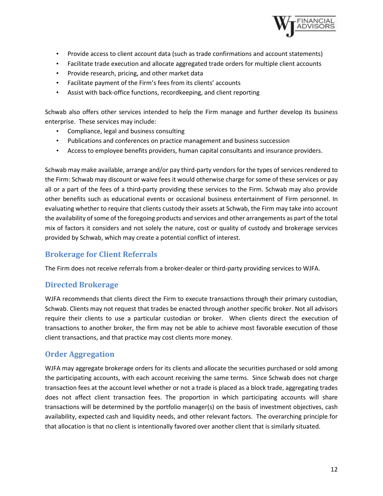

- Provide access to client account data (such as trade confirmations and account statements)
- Facilitate trade execution and allocate aggregated trade orders for multiple client accounts
- Provide research, pricing, and other market data
- Facilitate payment of the Firm's fees from its clients' accounts
- Assist with back-office functions, recordkeeping, and client reporting

Schwab also offers other services intended to help the Firm manage and further develop its business enterprise. These services may include:

- Compliance, legal and business consulting
- Publications and conferences on practice management and business succession
- Access to employee benefits providers, human capital consultants and insurance providers.

Schwab may make available, arrange and/or pay third-party vendors for the types of services rendered to the Firm: Schwab may discount or waive fees it would otherwise charge for some of these services or pay all or a part of the fees of a third-party providing these services to the Firm. Schwab may also provide other benefits such as educational events or occasional business entertainment of Firm personnel. In evaluating whether to require that clients custody their assets at Schwab, the Firm may take into account the availability of some of the foregoing products and services and other arrangements as part of the total mix of factors it considers and not solely the nature, cost or quality of custody and brokerage services provided by Schwab, which may create a potential conflict of interest.

#### **Brokerage for Client Referrals**

The Firm does not receive referrals from a broker-dealer or third-party providing services to WJFA.

#### **Directed Brokerage**

WJFA recommends that clients direct the Firm to execute transactions through their primary custodian, Schwab. Clients may not request that trades be enacted through another specific broker. Not all advisors require their clients to use a particular custodian or broker. When clients direct the execution of transactions to another broker, the firm may not be able to achieve most favorable execution of those client transactions, and that practice may cost clients more money.

#### **Order Aggregation**

WJFA may aggregate brokerage orders for its clients and allocate the securities purchased or sold among the participating accounts, with each account receiving the same terms. Since Schwab does not charge transaction fees at the account level whether or not a trade is placed as a block trade, aggregating trades does not affect client transaction fees. The proportion in which participating accounts will share transactions will be determined by the portfolio manager(s) on the basis of investment objectives, cash availability, expected cash and liquidity needs, and other relevant factors. The overarching principle for that allocation is that no client is intentionally favored over another client that is similarly situated.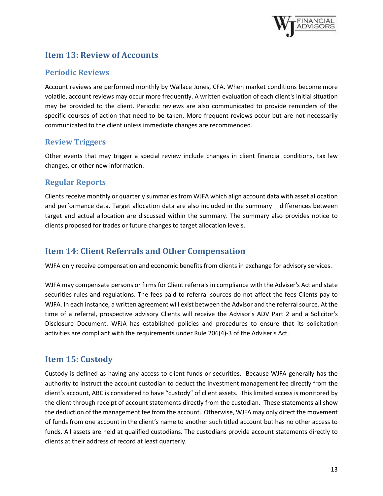

## <span id="page-12-0"></span>**Item 13: Review of Accounts**

#### **Periodic Reviews**

Account reviews are performed monthly by Wallace Jones, CFA. When market conditions become more volatile, account reviews may occur more frequently. A written evaluation of each client's initial situation may be provided to the client. Periodic reviews are also communicated to provide reminders of the specific courses of action that need to be taken. More frequent reviews occur but are not necessarily communicated to the client unless immediate changes are recommended.

#### **Review Triggers**

Other events that may trigger a special review include changes in client financial conditions, tax law changes, or other new information.

#### **Regular Reports**

Clients receive monthly or quarterly summaries from WJFA which align account data with asset allocation and performance data. Target allocation data are also included in the summary – differences between target and actual allocation are discussed within the summary. The summary also provides notice to clients proposed for trades or future changes to target allocation levels.

## <span id="page-12-1"></span>**Item 14: Client Referrals and Other Compensation**

WJFA only receive compensation and economic benefits from clients in exchange for advisory services.

WJFA may compensate persons or firms for Client referrals in compliance with the Adviser's Act and state securities rules and regulations. The fees paid to referral sources do not affect the fees Clients pay to WJFA. In each instance, a written agreement will exist between the Advisor and the referral source. At the time of a referral, prospective advisory Clients will receive the Advisor's ADV Part 2 and a Solicitor's Disclosure Document. WFJA has established policies and procedures to ensure that its solicitation activities are compliant with the requirements under Rule 206(4)-3 of the Adviser's Act.

## <span id="page-12-2"></span>**Item 15: Custody**

Custody is defined as having any access to client funds or securities. Because WJFA generally has the authority to instruct the account custodian to deduct the investment management fee directly from the client's account, ABC is considered to have "custody" of client assets. This limited access is monitored by the client through receipt of account statements directly from the custodian. These statements all show the deduction of the management fee from the account. Otherwise, WJFA may only direct the movement of funds from one account in the client's name to another such titled account but has no other access to funds. All assets are held at qualified custodians. The custodians provide account statements directly to clients at their address of record at least quarterly.